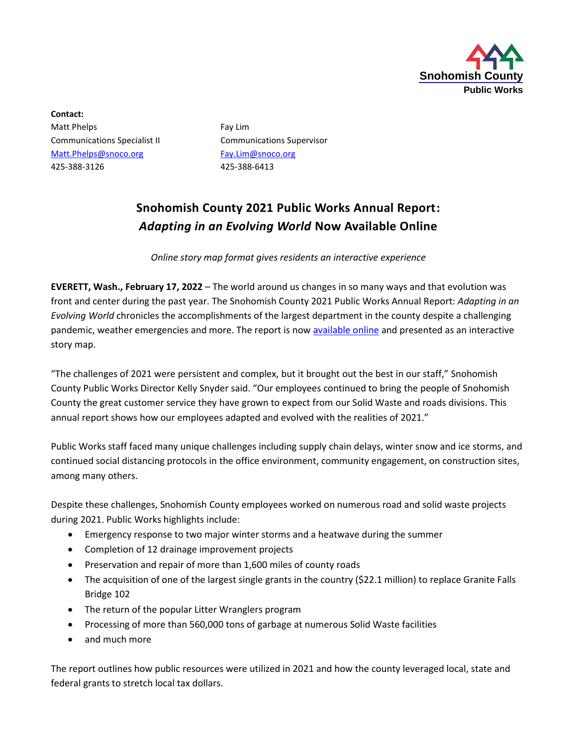

**Contact:** Matt Phelps Fay Lim Communications Specialist II Communications Supervisor [Matt.Phelps@snoco.org](mailto:Matt.Phelps@snoco.org) [Fay.Lim@snoco.org](mailto:Fay.Lim@snoco.org) 425-388-3126 425-388-6413

## **Snohomish County 2021 Public Works Annual Report:** *Adapting in an Evolving World* **Now Available Online**

*Online story map format gives residents an interactive experience*

**EVERETT, Wash., February 17, 2022** – The world around us changes in so many ways and that evolution was front and center during the past year. The Snohomish County 2021 Public Works Annual Report: *Adapting in an Evolving World* chronicles the accomplishments of the largest department in the county despite a challenging pandemic, weather emergencies and more. The report is now [available online](https://arcg.is/TfuTm) and presented as an interactive story map.

"The challenges of 2021 were persistent and complex, but it brought out the best in our staff," Snohomish County Public Works Director Kelly Snyder said. "Our employees continued to bring the people of Snohomish County the great customer service they have grown to expect from our Solid Waste and roads divisions. This annual report shows how our employees adapted and evolved with the realities of 2021."

Public Works staff faced many unique challenges including supply chain delays, winter snow and ice storms, and continued social distancing protocols in the office environment, community engagement, on construction sites, among many others.

Despite these challenges, Snohomish County employees worked on numerous road and solid waste projects during 2021. Public Works highlights include:

- Emergency response to two major winter storms and a heatwave during the summer
- Completion of 12 drainage improvement projects
- Preservation and repair of more than 1,600 miles of county roads
- The acquisition of one of the largest single grants in the country (\$22.1 million) to replace Granite Falls Bridge 102
- The return of the popular Litter Wranglers program
- Processing of more than 560,000 tons of garbage at numerous Solid Waste facilities
- and much more

The report outlines how public resources were utilized in 2021 and how the county leveraged local, state and federal grants to stretch local tax dollars.